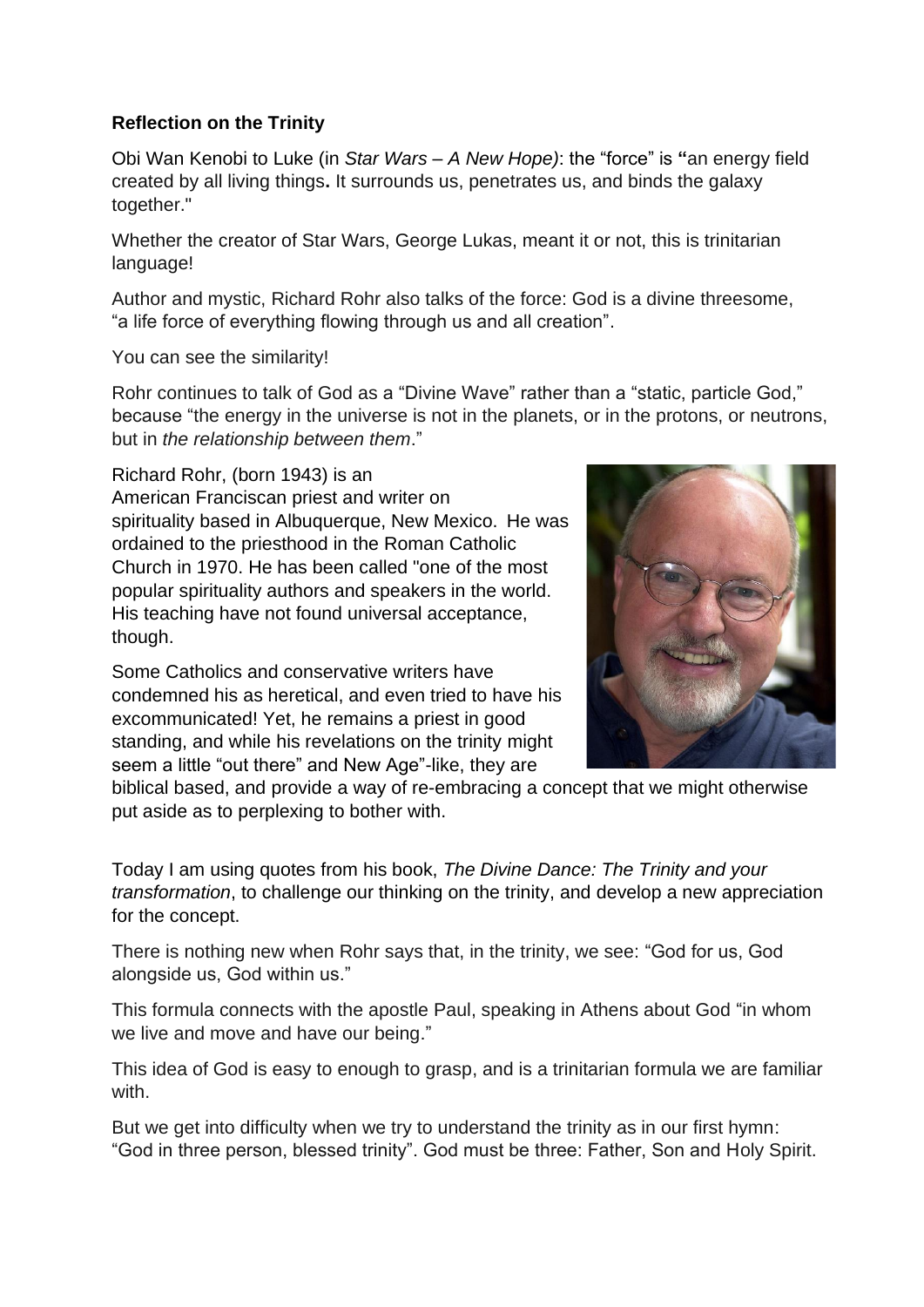## **Reflection on the Trinity**

Obi Wan Kenobi to Luke (in *Star Wars – A New Hope)*: the "force" is **"**an energy field created by all living things**.** It surrounds us, penetrates us, and binds the galaxy together."

Whether the creator of Star Wars, George Lukas, meant it or not, this is trinitarian language!

Author and mystic, Richard Rohr also talks of the force: God is a divine threesome, "a life force of everything flowing through us and all creation".

You can see the similarity!

Rohr continues to talk of God as a "Divine Wave" rather than a "static, particle God," because "the energy in the universe is not in the planets, or in the protons, or neutrons, but in *the relationship between them*."

Richard Rohr, (born 1943) is an American Franciscan priest and writer on spirituality based in Albuquerque, New Mexico. He was ordained to the priesthood in the Roman Catholic Church in 1970. He has been called "one of the most popular spirituality authors and speakers in the world. His teaching have not found universal acceptance, though.

Some Catholics and conservative writers have condemned his as heretical, and even tried to have his excommunicated! Yet, he remains a priest in good standing, and while his revelations on the trinity might seem a little "out there" and New Age"-like, they are



biblical based, and provide a way of re-embracing a concept that we might otherwise put aside as to perplexing to bother with.

Today I am using quotes from his book, *The Divine Dance: The Trinity and your transformation*, to challenge our thinking on the trinity, and develop a new appreciation for the concept.

There is nothing new when Rohr says that, in the trinity, we see: "God for us, God alongside us, God within us."

This formula connects with the apostle Paul, speaking in Athens about God "in whom we live and move and have our being."

This idea of God is easy to enough to grasp, and is a trinitarian formula we are familiar with.

But we get into difficulty when we try to understand the trinity as in our first hymn: "God in three person, blessed trinity". God must be three: Father, Son and Holy Spirit.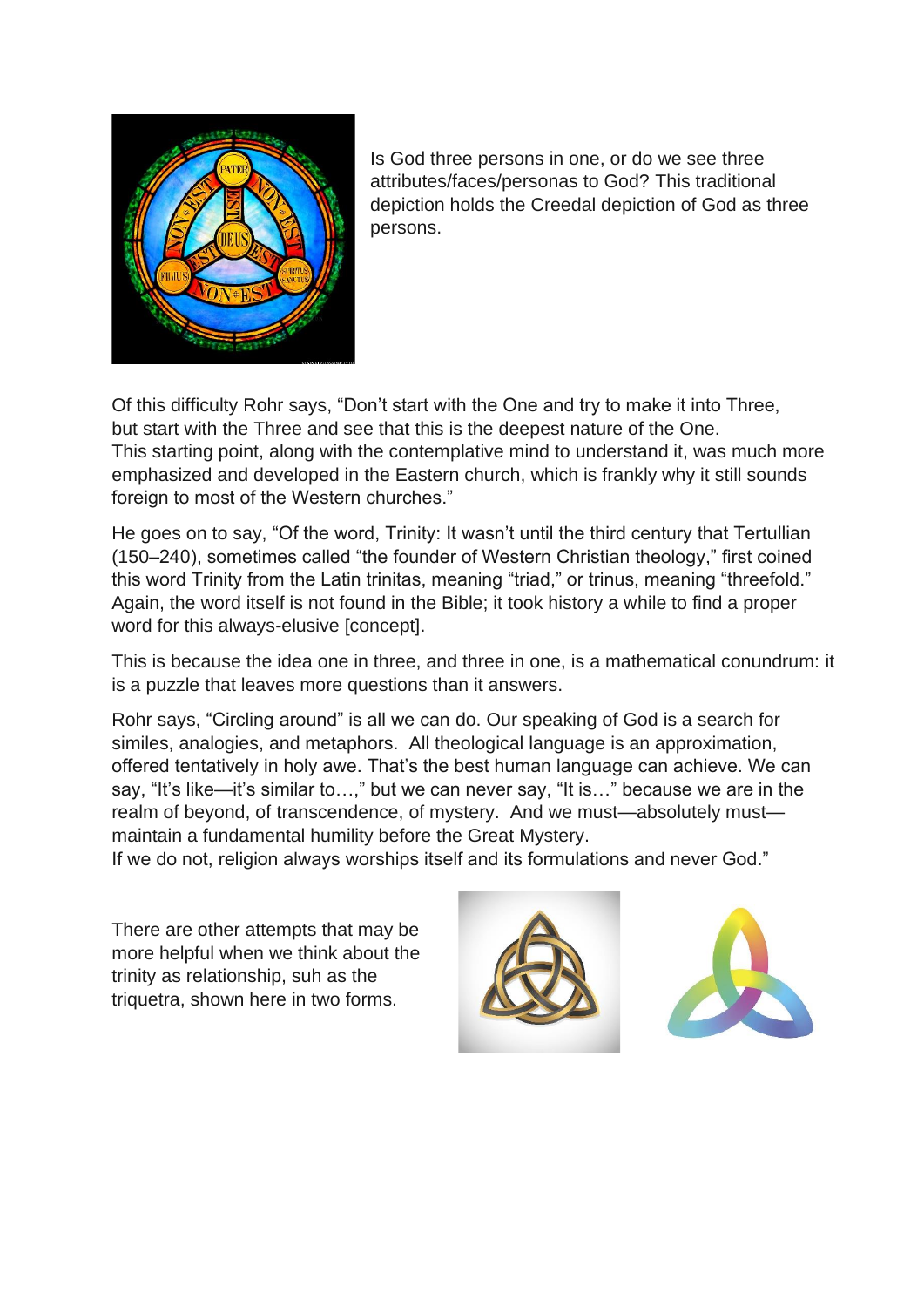

Is God three persons in one, or do we see three attributes/faces/personas to God? This traditional depiction holds the Creedal depiction of God as three persons.

Of this difficulty Rohr says, "Don't start with the One and try to make it into Three, but start with the Three and see that this is the deepest nature of the One. This starting point, along with the contemplative mind to understand it, was much more emphasized and developed in the Eastern church, which is frankly why it still sounds foreign to most of the Western churches."

He goes on to say, "Of the word, Trinity: It wasn't until the third century that Tertullian (150–240), sometimes called "the founder of Western Christian theology," first coined this word Trinity from the Latin trinitas, meaning "triad," or trinus, meaning "threefold." Again, the word itself is not found in the Bible; it took history a while to find a proper word for this always-elusive [concept].

This is because the idea one in three, and three in one, is a mathematical conundrum: it is a puzzle that leaves more questions than it answers.

Rohr says, "Circling around" is all we can do. Our speaking of God is a search for similes, analogies, and metaphors. All theological language is an approximation, offered tentatively in holy awe. That's the best human language can achieve. We can say, "It's like—it's similar to…," but we can never say, "It is…" because we are in the realm of beyond, of transcendence, of mystery. And we must—absolutely must maintain a fundamental humility before the Great Mystery.

If we do not, religion always worships itself and its formulations and never God."

There are other attempts that may be more helpful when we think about the trinity as relationship, suh as the triquetra, shown here in two forms.



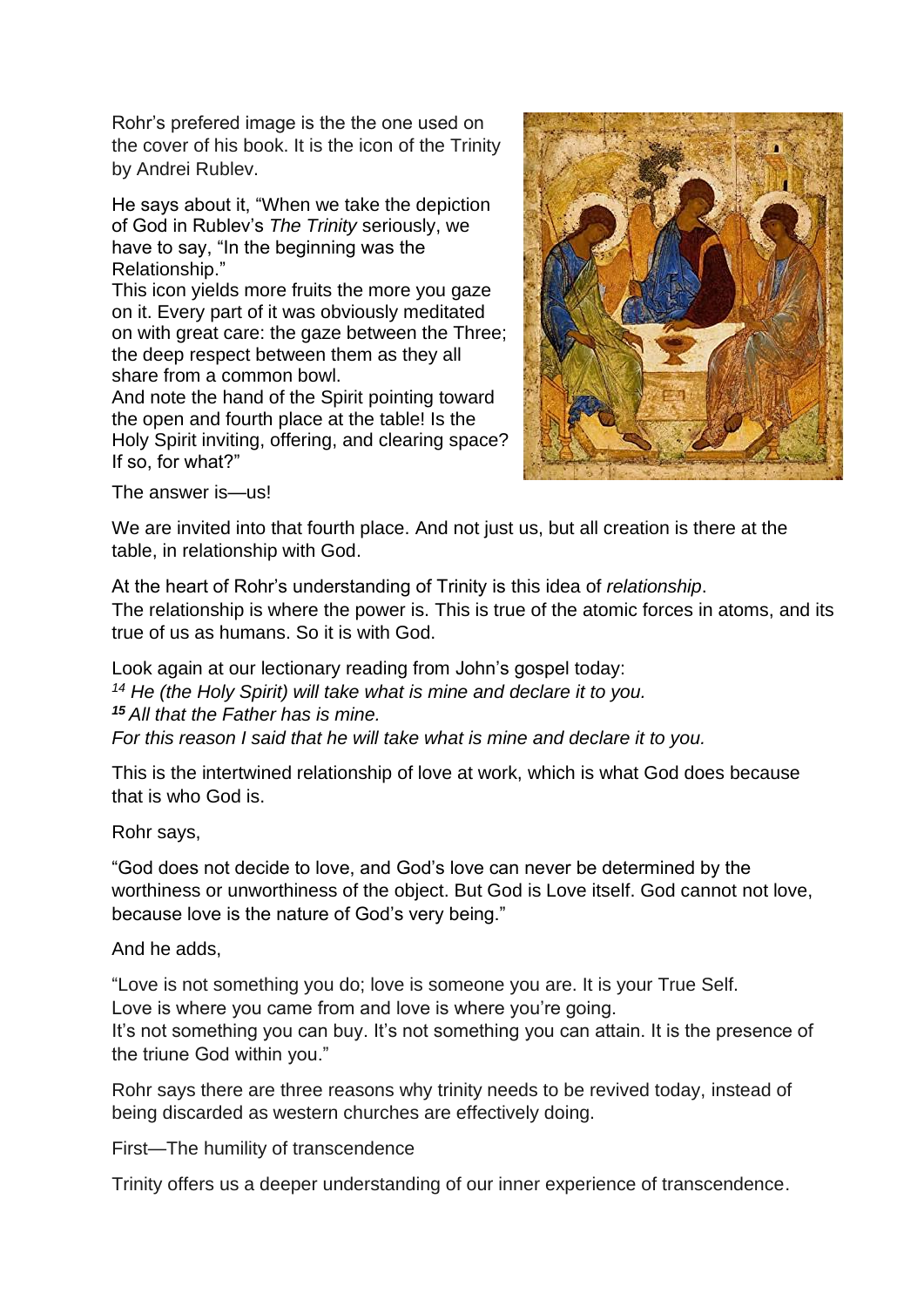Rohr's prefered image is the the one used on the cover of his book. It is the icon of the Trinity by Andrei Rublev.

He says about it, "When we take the depiction of God in Rublev's *The Trinity* seriously, we have to say, "In the beginning was the Relationship."

This icon yields more fruits the more you gaze on it. Every part of it was obviously meditated on with great care: the gaze between the Three; the deep respect between them as they all share from a common bowl.

And note the hand of the Spirit pointing toward the open and fourth place at the table! Is the Holy Spirit inviting, offering, and clearing space? If so, for what?"



The answer is—us!

We are invited into that fourth place. And not just us, but all creation is there at the table, in relationship with God.

At the heart of Rohr's understanding of Trinity is this idea of *relationship*. The relationship is where the power is. This is true of the atomic forces in atoms, and its true of us as humans. So it is with God.

Look again at our lectionary reading from John's gospel today: *<sup>14</sup> He (the Holy Spirit) will take what is mine and declare it to you. <sup>15</sup> All that the Father has is mine. For this reason I said that he will take what is mine and declare it to you.*

This is the intertwined relationship of love at work, which is what God does because that is who God is.

Rohr says,

"God does not decide to love, and God's love can never be determined by the worthiness or unworthiness of the object. But God is Love itself. God cannot not love, because love is the nature of God's very being."

## And he adds,

"Love is not something you do; love is someone you are. It is your True Self. Love is where you came from and love is where you're going. It's not something you can buy. It's not something you can attain. It is the presence of the triune God within you."

Rohr says there are three reasons why trinity needs to be revived today, instead of being discarded as western churches are effectively doing.

First—The humility of transcendence

Trinity offers us a deeper understanding of our inner experience of transcendence.